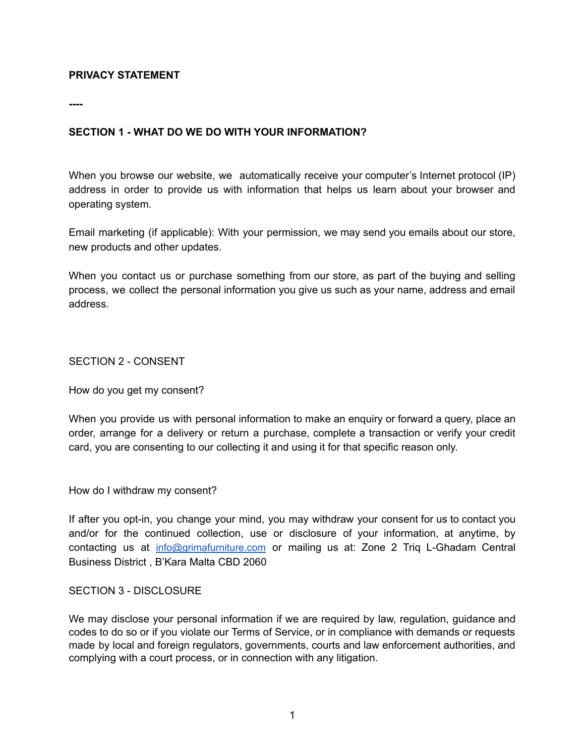#### **PRIVACY STATEMENT**

**----**

#### **SECTION 1 - WHAT DO WE DO WITH YOUR INFORMATION?**

When you browse our website, we automatically receive your computer's Internet protocol (IP) address in order to provide us with information that helps us learn about your browser and operating system.

Email marketing (if applicable): With your permission, we may send you emails about our store, new products and other updates.

When you contact us or purchase something from our store, as part of the buying and selling process, we collect the personal information you give us such as your name, address and email address.

SECTION 2 - CONSENT

How do you get my consent?

When you provide us with personal information to make an enquiry or forward a query, place an order, arrange for a delivery or return a purchase, complete a transaction or verify your credit card, you are consenting to our collecting it and using it for that specific reason only.

How do I withdraw my consent?

If after you opt-in, you change your mind, you may withdraw your consent for us to contact you and/or for the continued collection, use or disclosure of your information, at anytime, by contacting us at [info@grimafurniture.com](mailto:info@grimafurniture.com) or mailing us at: Zone 2 Triq L-Ghadam Central Business District , B'Kara Malta CBD 2060

#### SECTION 3 - DISCLOSURE

We may disclose your personal information if we are required by law, regulation, guidance and codes to do so or if you violate our Terms of Service, or in compliance with demands or requests made by local and foreign regulators, governments, courts and law enforcement authorities, and complying with a court process, or in connection with any litigation.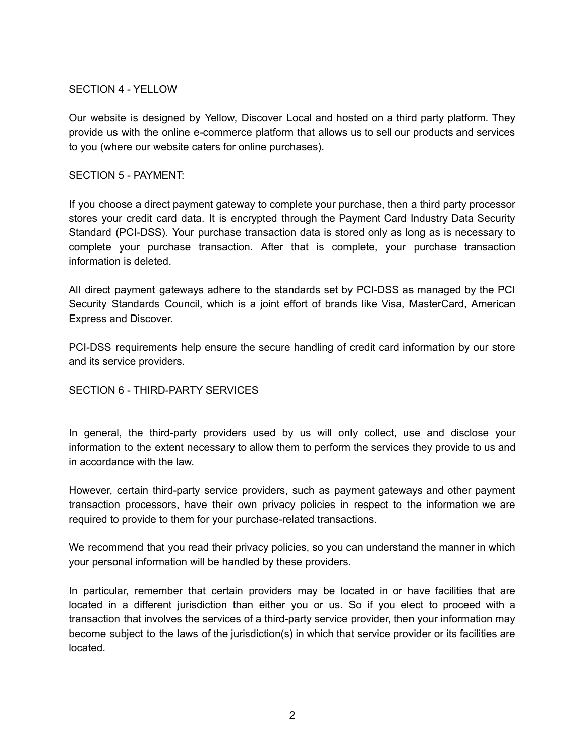## SECTION 4 - YELLOW

Our website is designed by Yellow, Discover Local and hosted on a third party platform. They provide us with the online e-commerce platform that allows us to sell our products and services to you (where our website caters for online purchases).

#### SECTION 5 - PAYMENT:

If you choose a direct payment gateway to complete your purchase, then a third party processor stores your credit card data. It is encrypted through the Payment Card Industry Data Security Standard (PCI-DSS). Your purchase transaction data is stored only as long as is necessary to complete your purchase transaction. After that is complete, your purchase transaction information is deleted.

All direct payment gateways adhere to the standards set by PCI-DSS as managed by the PCI Security Standards Council, which is a joint effort of brands like Visa, MasterCard, American Express and Discover.

PCI-DSS requirements help ensure the secure handling of credit card information by our store and its service providers.

#### SECTION 6 - THIRD-PARTY SERVICES

In general, the third-party providers used by us will only collect, use and disclose your information to the extent necessary to allow them to perform the services they provide to us and in accordance with the law.

However, certain third-party service providers, such as payment gateways and other payment transaction processors, have their own privacy policies in respect to the information we are required to provide to them for your purchase-related transactions.

We recommend that you read their privacy policies, so you can understand the manner in which your personal information will be handled by these providers.

In particular, remember that certain providers may be located in or have facilities that are located in a different jurisdiction than either you or us. So if you elect to proceed with a transaction that involves the services of a third-party service provider, then your information may become subject to the laws of the jurisdiction(s) in which that service provider or its facilities are located.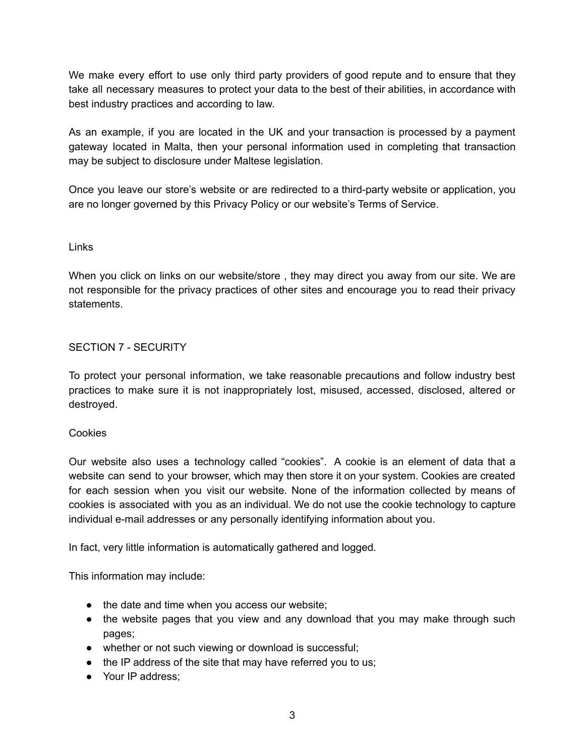We make every effort to use only third party providers of good repute and to ensure that they take all necessary measures to protect your data to the best of their abilities, in accordance with best industry practices and according to law.

As an example, if you are located in the UK and your transaction is processed by a payment gateway located in Malta, then your personal information used in completing that transaction may be subject to disclosure under Maltese legislation.

Once you leave our store's website or are redirected to a third-party website or application, you are no longer governed by this Privacy Policy or our website's Terms of Service.

#### Links

When you click on links on our website/store, they may direct you away from our site. We are not responsible for the privacy practices of other sites and encourage you to read their privacy statements.

## SECTION 7 - SECURITY

To protect your personal information, we take reasonable precautions and follow industry best practices to make sure it is not inappropriately lost, misused, accessed, disclosed, altered or destroyed.

#### **Cookies**

Our website also uses a technology called "cookies". A cookie is an element of data that a website can send to your browser, which may then store it on your system. Cookies are created for each session when you visit our website. None of the information collected by means of cookies is associated with you as an individual. We do not use the cookie technology to capture individual e-mail addresses or any personally identifying information about you.

In fact, very little information is automatically gathered and logged.

This information may include:

- the date and time when you access our website;
- the website pages that you view and any download that you may make through such pages;
- whether or not such viewing or download is successful;
- the IP address of the site that may have referred you to us;
- Your IP address: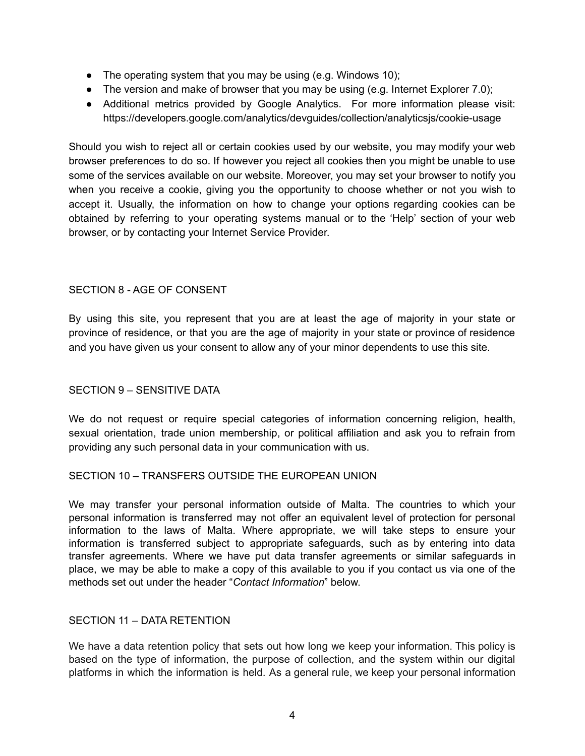- The operating system that you may be using (e.g. Windows 10);
- The version and make of browser that you may be using (e.g. Internet Explorer 7.0);
- Additional metrics provided by Google Analytics. For more information please visit: https://developers.google.com/analytics/devguides/collection/analyticsjs/cookie-usage

Should you wish to reject all or certain cookies used by our website, you may modify your web browser preferences to do so. If however you reject all cookies then you might be unable to use some of the services available on our website. Moreover, you may set your browser to notify you when you receive a cookie, giving you the opportunity to choose whether or not you wish to accept it. Usually, the information on how to change your options regarding cookies can be obtained by referring to your operating systems manual or to the 'Help' section of your web browser, or by contacting your Internet Service Provider.

## SECTION 8 - AGE OF CONSENT

By using this site, you represent that you are at least the age of majority in your state or province of residence, or that you are the age of majority in your state or province of residence and you have given us your consent to allow any of your minor dependents to use this site.

#### SECTION 9 – SENSITIVE DATA

We do not request or require special categories of information concerning religion, health, sexual orientation, trade union membership, or political affiliation and ask you to refrain from providing any such personal data in your communication with us.

#### SECTION 10 – TRANSFERS OUTSIDE THE EUROPEAN UNION

We may transfer your personal information outside of Malta. The countries to which your personal information is transferred may not offer an equivalent level of protection for personal information to the laws of Malta. Where appropriate, we will take steps to ensure your information is transferred subject to appropriate safeguards, such as by entering into data transfer agreements. Where we have put data transfer agreements or similar safeguards in place, we may be able to make a copy of this available to you if you contact us via one of the methods set out under the header "*Contact Information*" below.

#### SECTION 11 – DATA RETENTION

We have a data retention policy that sets out how long we keep your information. This policy is based on the type of information, the purpose of collection, and the system within our digital platforms in which the information is held. As a general rule, we keep your personal information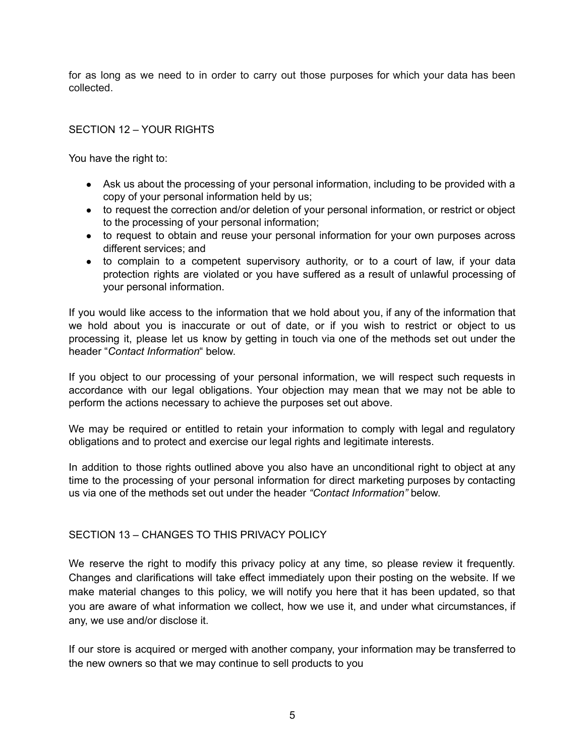for as long as we need to in order to carry out those purposes for which your data has been collected.

## SECTION 12 – YOUR RIGHTS

You have the right to:

- Ask us about the processing of your personal information, including to be provided with a copy of your personal information held by us;
- to request the correction and/or deletion of your personal information, or restrict or object to the processing of your personal information;
- to request to obtain and reuse your personal information for your own purposes across different services; and
- to complain to a competent supervisory authority, or to a court of law, if your data protection rights are violated or you have suffered as a result of unlawful processing of your personal information.

If you would like access to the information that we hold about you, if any of the information that we hold about you is inaccurate or out of date, or if you wish to restrict or object to us processing it, please let us know by getting in touch via one of the methods set out under the header "*Contact Information*" below.

If you object to our processing of your personal information, we will respect such requests in accordance with our legal obligations. Your objection may mean that we may not be able to perform the actions necessary to achieve the purposes set out above.

We may be required or entitled to retain your information to comply with legal and regulatory obligations and to protect and exercise our legal rights and legitimate interests.

In addition to those rights outlined above you also have an unconditional right to object at any time to the processing of your personal information for direct marketing purposes by contacting us via one of the methods set out under the header *"Contact Information"* below.

#### SECTION 13 – CHANGES TO THIS PRIVACY POLICY

We reserve the right to modify this privacy policy at any time, so please review it frequently. Changes and clarifications will take effect immediately upon their posting on the website. If we make material changes to this policy, we will notify you here that it has been updated, so that you are aware of what information we collect, how we use it, and under what circumstances, if any, we use and/or disclose it.

If our store is acquired or merged with another company, your information may be transferred to the new owners so that we may continue to sell products to you